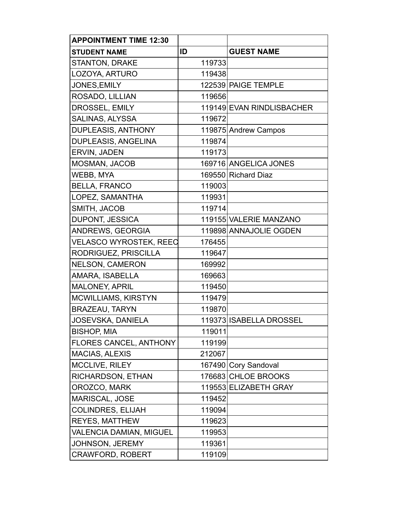| <b>APPOINTMENT TIME 12:30</b> |        |                           |
|-------------------------------|--------|---------------------------|
| <b>STUDENT NAME</b>           | ID     | <b>GUEST NAME</b>         |
| <b>STANTON, DRAKE</b>         | 119733 |                           |
| LOZOYA, ARTURO                | 119438 |                           |
| JONES, EMILY                  |        | 122539 PAIGE TEMPLE       |
| ROSADO, LILLIAN               | 119656 |                           |
| DROSSEL, EMILY                |        | 119149 EVAN RINDLISBACHER |
| <b>SALINAS, ALYSSA</b>        | 119672 |                           |
| <b>DUPLEASIS, ANTHONY</b>     |        | 119875 Andrew Campos      |
| <b>DUPLEASIS, ANGELINA</b>    | 119874 |                           |
| ERVIN, JADEN                  | 119173 |                           |
| <b>MOSMAN, JACOB</b>          |        | 169716 ANGELICA JONES     |
| WEBB, MYA                     |        | 169550 Richard Diaz       |
| <b>BELLA, FRANCO</b>          | 119003 |                           |
| LOPEZ, SAMANTHA               | 119931 |                           |
| SMITH, JACOB                  | 119714 |                           |
| <b>DUPONT, JESSICA</b>        |        | 119155 VALERIE MANZANO    |
| ANDREWS, GEORGIA              |        | 119898 ANNAJOLIE OGDEN    |
| <b>VELASCO WYROSTEK, REEC</b> | 176455 |                           |
| RODRIGUEZ, PRISCILLA          | 119647 |                           |
| <b>NELSON, CAMERON</b>        | 169992 |                           |
| AMARA, ISABELLA               | 169663 |                           |
| <b>MALONEY, APRIL</b>         | 119450 |                           |
| <b>MCWILLIAMS, KIRSTYN</b>    | 119479 |                           |
| <b>BRAZEAU, TARYN</b>         | 119870 |                           |
| <b>JOSEVSKA, DANIELA</b>      |        | 119373 ISABELLA DROSSEL   |
| <b>BISHOP, MIA</b>            | 119011 |                           |
| <b>FLORES CANCEL, ANTHONY</b> | 119199 |                           |
| <b>MACIAS, ALEXIS</b>         | 212067 |                           |
| <b>MCCLIVE, RILEY</b>         |        | 167490 Cory Sandoval      |
| RICHARDSON, ETHAN             |        | 176683 CHLOE BROOKS       |
| OROZCO, MARK                  |        | 119553 ELIZABETH GRAY     |
| <b>MARISCAL, JOSE</b>         | 119452 |                           |
| <b>COLINDRES, ELIJAH</b>      | 119094 |                           |
| <b>REYES, MATTHEW</b>         | 119623 |                           |
| VALENCIA DAMIAN, MIGUEL       | 119953 |                           |
| JOHNSON, JEREMY               | 119361 |                           |
| <b>CRAWFORD, ROBERT</b>       | 119109 |                           |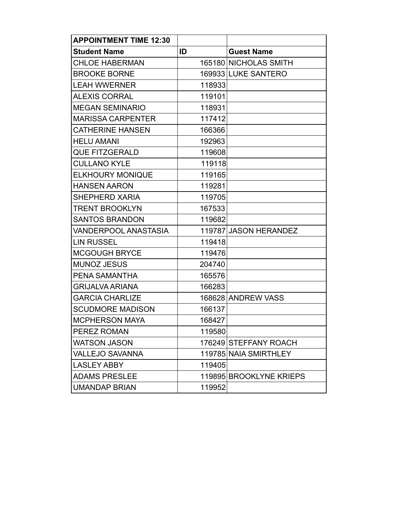| <b>APPOINTMENT TIME 12:30</b> |        |                         |
|-------------------------------|--------|-------------------------|
| <b>Student Name</b>           | ID     | <b>Guest Name</b>       |
| <b>CHLOE HABERMAN</b>         |        | 165180 NICHOLAS SMITH   |
| <b>BROOKE BORNE</b>           |        | 169933 LUKE SANTERO     |
| <b>LEAH WWERNER</b>           | 118933 |                         |
| <b>ALEXIS CORRAL</b>          | 119101 |                         |
| <b>MEGAN SEMINARIO</b>        | 118931 |                         |
| <b>MARISSA CARPENTER</b>      | 117412 |                         |
| <b>CATHERINE HANSEN</b>       | 166366 |                         |
| <b>HELU AMANI</b>             | 192963 |                         |
| <b>QUE FITZGERALD</b>         | 119608 |                         |
| <b>CULLANO KYLE</b>           | 119118 |                         |
| <b>ELKHOURY MONIQUE</b>       | 119165 |                         |
| <b>HANSEN AARON</b>           | 119281 |                         |
| SHEPHERD XARIA                | 119705 |                         |
| <b>TRENT BROOKLYN</b>         | 167533 |                         |
| <b>SANTOS BRANDON</b>         | 119682 |                         |
| VANDERPOOL ANASTASIA          |        | 119787 JASON HERANDEZ   |
| <b>LIN RUSSEL</b>             | 119418 |                         |
| <b>MCGOUGH BRYCE</b>          | 119476 |                         |
| <b>MUNOZ JESUS</b>            | 204740 |                         |
| PENA SAMANTHA                 | 165576 |                         |
| <b>GRIJALVA ARIANA</b>        | 166283 |                         |
| <b>GARCIA CHARLIZE</b>        |        | 168628 ANDREW VASS      |
| <b>SCUDMORE MADISON</b>       | 166137 |                         |
| <b>MCPHERSON MAYA</b>         | 168427 |                         |
| PEREZ ROMAN                   | 119580 |                         |
| <b>WATSON JASON</b>           |        | 176249 STEFFANY ROACH   |
| <b>VALLEJO SAVANNA</b>        |        | 119785 NAIA SMIRTHLEY   |
| <b>LASLEY ABBY</b>            | 119405 |                         |
| <b>ADAMS PRESLEE</b>          |        | 119895 BROOKLYNE KRIEPS |
| <b>UMANDAP BRIAN</b>          | 119952 |                         |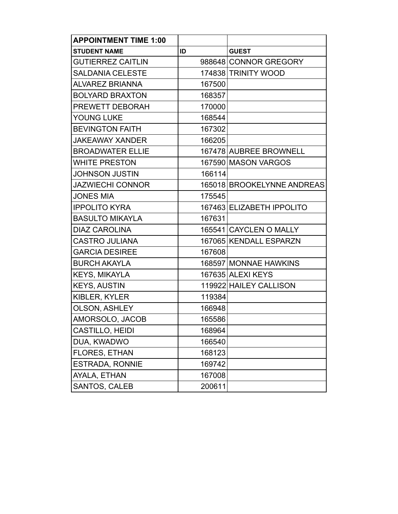| <b>APPOINTMENT TIME 1:00</b> |        |                            |
|------------------------------|--------|----------------------------|
| <b>STUDENT NAME</b>          | ID     | <b>GUEST</b>               |
| <b>GUTIERREZ CAITLIN</b>     |        | 988648 CONNOR GREGORY      |
| <b>SALDANIA CELESTE</b>      |        | 174838 TRINITY WOOD        |
| <b>ALVAREZ BRIANNA</b>       | 167500 |                            |
| <b>BOLYARD BRAXTON</b>       | 168357 |                            |
| PREWETT DEBORAH              | 170000 |                            |
| YOUNG LUKE                   | 168544 |                            |
| <b>BEVINGTON FAITH</b>       | 167302 |                            |
| <b>JAKEAWAY XANDER</b>       | 166205 |                            |
| <b>BROADWATER ELLIE</b>      |        | 167478 AUBREE BROWNELL     |
| <b>WHITE PRESTON</b>         |        | 167590 MASON VARGOS        |
| <b>JOHNSON JUSTIN</b>        | 166114 |                            |
| <b>JAZWIECHI CONNOR</b>      |        | 165018 BROOKELYNNE ANDREAS |
| <b>JONES MIA</b>             | 175545 |                            |
| <b>IPPOLITO KYRA</b>         |        | 167463 ELIZABETH IPPOLITO  |
| <b>BASULTO MIKAYLA</b>       | 167631 |                            |
| <b>DIAZ CAROLINA</b>         |        | 165541 CAYCLEN O MALLY     |
| <b>CASTRO JULIANA</b>        |        | 167065 KENDALL ESPARZN     |
| <b>GARCIA DESIREE</b>        | 167608 |                            |
| <b>BURCH AKAYLA</b>          |        | 168597 MONNAE HAWKINS      |
| <b>KEYS, MIKAYLA</b>         |        | 167635 ALEXI KEYS          |
| <b>KEYS, AUSTIN</b>          |        | 119922 HAILEY CALLISON     |
| KIBLER, KYLER                | 119384 |                            |
| <b>OLSON, ASHLEY</b>         | 166948 |                            |
| AMORSOLO, JACOB              | 165586 |                            |
| CASTILLO, HEIDI              | 168964 |                            |
| DUA, KWADWO                  | 166540 |                            |
| FLORES, ETHAN                | 168123 |                            |
| <b>ESTRADA, RONNIE</b>       | 169742 |                            |
| AYALA, ETHAN                 | 167008 |                            |
| SANTOS, CALEB                | 200611 |                            |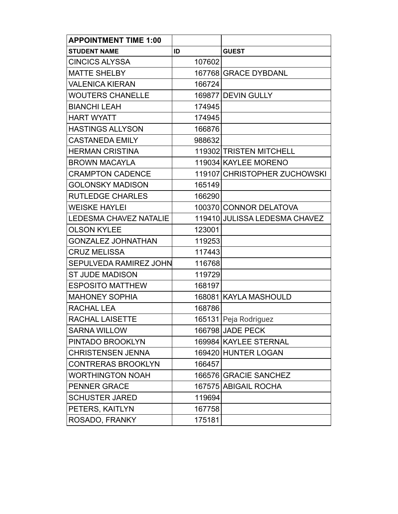| <b>APPOINTMENT TIME 1:00</b>  |        |                               |
|-------------------------------|--------|-------------------------------|
| <b>STUDENT NAME</b>           | ID     | <b>GUEST</b>                  |
| <b>CINCICS ALYSSA</b>         | 107602 |                               |
| <b>MATTE SHELBY</b>           |        | 167768 GRACE DYBDANL          |
| <b>VALENICA KIERAN</b>        | 166724 |                               |
| <b>WOUTERS CHANELLE</b>       |        | 169877 DEVIN GULLY            |
| <b>BIANCHI LEAH</b>           | 174945 |                               |
| <b>HART WYATT</b>             | 174945 |                               |
| <b>HASTINGS ALLYSON</b>       | 166876 |                               |
| <b>CASTANEDA EMILY</b>        | 988632 |                               |
| <b>HERMAN CRISTINA</b>        |        | 119302 TRISTEN MITCHELL       |
| <b>BROWN MACAYLA</b>          |        | 119034 KAYLEE MORENO          |
| <b>CRAMPTON CADENCE</b>       |        | 119107 CHRISTOPHER ZUCHOWSKI  |
| <b>GOLONSKY MADISON</b>       | 165149 |                               |
| <b>RUTLEDGE CHARLES</b>       | 166290 |                               |
| <b>WEISKE HAYLEI</b>          |        | 100370 CONNOR DELATOVA        |
| <b>LEDESMA CHAVEZ NATALIE</b> |        | 119410 JULISSA LEDESMA CHAVEZ |
| <b>OLSON KYLEE</b>            | 123001 |                               |
| <b>GONZALEZ JOHNATHAN</b>     | 119253 |                               |
| <b>CRUZ MELISSA</b>           | 117443 |                               |
| <b>SEPULVEDA RAMIREZ JOHN</b> | 116768 |                               |
| <b>ST JUDE MADISON</b>        | 119729 |                               |
| <b>ESPOSITO MATTHEW</b>       | 168197 |                               |
| <b>MAHONEY SOPHIA</b>         |        | 168081 KAYLA MASHOULD         |
| <b>RACHAL LEA</b>             | 168786 |                               |
| <b>RACHAL LAISETTE</b>        |        | 165131 Peja Rodriguez         |
| <b>SARNA WILLOW</b>           |        | 166798 JADE PECK              |
| PINTADO BROOKLYN              |        | 169984 KAYLEE STERNAL         |
| <b>CHRISTENSEN JENNA</b>      |        | 169420 HUNTER LOGAN           |
| <b>CONTRERAS BROOKLYN</b>     | 166457 |                               |
| <b>WORTHINGTON NOAH</b>       |        | 166576 GRACIE SANCHEZ         |
| <b>PENNER GRACE</b>           |        | 167575 ABIGAIL ROCHA          |
| <b>SCHUSTER JARED</b>         | 119694 |                               |
| PETERS, KAITLYN               | 167758 |                               |
| ROSADO, FRANKY                | 175181 |                               |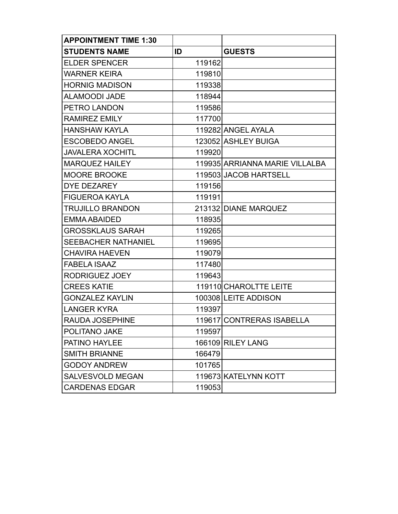| <b>APPOINTMENT TIME 1:30</b> |        |                                |
|------------------------------|--------|--------------------------------|
| <b>STUDENTS NAME</b>         | ID     | <b>GUESTS</b>                  |
| <b>ELDER SPENCER</b>         | 119162 |                                |
| <b>WARNER KEIRA</b>          | 119810 |                                |
| <b>HORNIG MADISON</b>        | 119338 |                                |
| <b>ALAMOODI JADE</b>         | 118944 |                                |
| PETRO LANDON                 | 119586 |                                |
| <b>RAMIREZ EMILY</b>         | 117700 |                                |
| <b>HANSHAW KAYLA</b>         |        | 119282 ANGEL AYALA             |
| <b>ESCOBEDO ANGEL</b>        |        | 123052 ASHLEY BUIGA            |
| <b>JAVALERA XOCHITL</b>      | 119920 |                                |
| <b>MARQUEZ HAILEY</b>        |        | 119935 ARRIANNA MARIE VILLALBA |
| <b>MOORE BROOKE</b>          |        | 119503 JACOB HARTSELL          |
| <b>DYE DEZAREY</b>           | 119156 |                                |
| <b>FIGUEROA KAYLA</b>        | 119191 |                                |
| <b>TRUJILLO BRANDON</b>      |        | 213132 DIANE MARQUEZ           |
| EMMA ABAIDED                 | 118935 |                                |
| <b>GROSSKLAUS SARAH</b>      | 119265 |                                |
| <b>SEEBACHER NATHANIEL</b>   | 119695 |                                |
| <b>CHAVIRA HAEVEN</b>        | 119079 |                                |
| <b>FABELA ISAAZ</b>          | 117480 |                                |
| RODRIGUEZ JOEY               | 119643 |                                |
| <b>CREES KATIE</b>           |        | 119110 CHAROLTTE LEITE         |
| <b>GONZALEZ KAYLIN</b>       |        | 100308 LEITE ADDISON           |
| <b>LANGER KYRA</b>           | 119397 |                                |
| <b>RAUDA JOSEPHINE</b>       |        | 119617 CONTRERAS ISABELLA      |
| POLITANO JAKE                | 119597 |                                |
| PATINO HAYLEE                |        | 166109 RILEY LANG              |
| <b>SMITH BRIANNE</b>         | 166479 |                                |
| <b>GODOY ANDREW</b>          | 101765 |                                |
| SALVESVOLD MEGAN             |        | 119673 KATELYNN KOTT           |
| <b>CARDENAS EDGAR</b>        | 119053 |                                |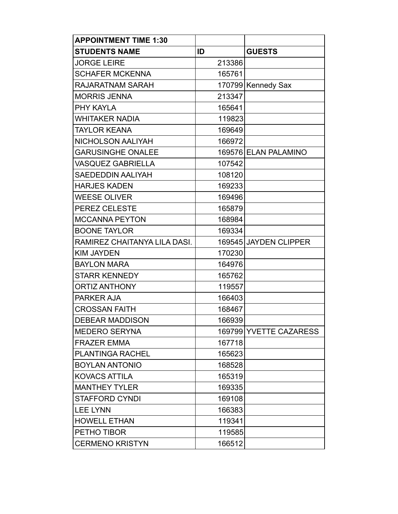| <b>APPOINTMENT TIME 1:30</b> |        |                        |
|------------------------------|--------|------------------------|
| <b>STUDENTS NAME</b>         | ID     | <b>GUESTS</b>          |
| <b>JORGE LEIRE</b>           | 213386 |                        |
| <b>SCHAFER MCKENNA</b>       | 165761 |                        |
| RAJARATNAM SARAH             |        | 170799 Kennedy Sax     |
| <b>MORRIS JENNA</b>          | 213347 |                        |
| PHY KAYLA                    | 165641 |                        |
| <b>WHITAKER NADIA</b>        | 119823 |                        |
| <b>TAYLOR KEANA</b>          | 169649 |                        |
| NICHOLSON AALIYAH            | 166972 |                        |
| <b>GARUSINGHE ONALEE</b>     |        | 169576 ELAN PALAMINO   |
| <b>VASQUEZ GABRIELLA</b>     | 107542 |                        |
| <b>SAEDEDDIN AALIYAH</b>     | 108120 |                        |
| <b>HARJES KADEN</b>          | 169233 |                        |
| <b>WEESE OLIVER</b>          | 169496 |                        |
| <b>PEREZ CELESTE</b>         | 165879 |                        |
| <b>MCCANNA PEYTON</b>        | 168984 |                        |
| <b>BOONE TAYLOR</b>          | 169334 |                        |
| RAMIREZ CHAITANYA LILA DASI. |        | 169545 JAYDEN CLIPPER  |
| <b>KIM JAYDEN</b>            | 170230 |                        |
| <b>BAYLON MARA</b>           | 164976 |                        |
| <b>STARR KENNEDY</b>         | 165762 |                        |
| <b>ORTIZ ANTHONY</b>         | 119557 |                        |
| <b>PARKER AJA</b>            | 166403 |                        |
| <b>CROSSAN FAITH</b>         | 168467 |                        |
| <b>DEBEAR MADDISON</b>       | 166939 |                        |
| <b>MEDERO SERYNA</b>         |        | 169799 YVETTE CAZARESS |
| <b>FRAZER EMMA</b>           | 167718 |                        |
| PLANTINGA RACHEL             | 165623 |                        |
| <b>BOYLAN ANTONIO</b>        | 168528 |                        |
| <b>KOVACS ATTILA</b>         | 165319 |                        |
| <b>MANTHEY TYLER</b>         | 169335 |                        |
| <b>STAFFORD CYNDI</b>        | 169108 |                        |
| <b>LEE LYNN</b>              | 166383 |                        |
| <b>HOWELL ETHAN</b>          | 119341 |                        |
| PETHO TIBOR                  | 119585 |                        |
| <b>CERMENO KRISTYN</b>       | 166512 |                        |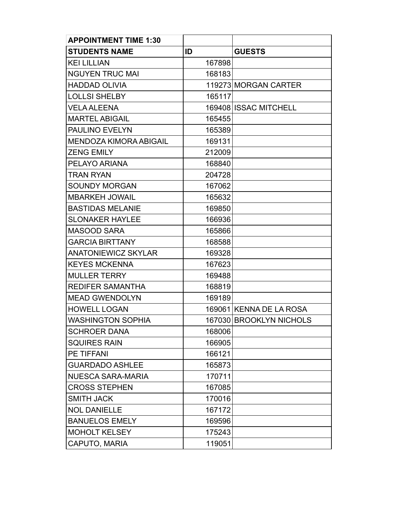| <b>APPOINTMENT TIME 1:30</b>  |        |                         |
|-------------------------------|--------|-------------------------|
| <b>STUDENTS NAME</b>          | ID     | <b>GUESTS</b>           |
| <b>KEI LILLIAN</b>            | 167898 |                         |
| <b>NGUYEN TRUC MAI</b>        | 168183 |                         |
| <b>HADDAD OLIVIA</b>          |        | 119273 MORGAN CARTER    |
| <b>LOLLSI SHELBY</b>          | 165117 |                         |
| <b>VELA ALEENA</b>            |        | 169408 ISSAC MITCHELL   |
| <b>MARTEL ABIGAIL</b>         | 165455 |                         |
| <b>PAULINO EVELYN</b>         | 165389 |                         |
| <b>MENDOZA KIMORA ABIGAIL</b> | 169131 |                         |
| <b>ZENG EMILY</b>             | 212009 |                         |
| PELAYO ARIANA                 | 168840 |                         |
| <b>TRAN RYAN</b>              | 204728 |                         |
| <b>SOUNDY MORGAN</b>          | 167062 |                         |
| <b>MBARKEH JOWAIL</b>         | 165632 |                         |
| <b>BASTIDAS MELANIE</b>       | 169850 |                         |
| <b>SLONAKER HAYLEE</b>        | 166936 |                         |
| <b>MASOOD SARA</b>            | 165866 |                         |
| <b>GARCIA BIRTTANY</b>        | 168588 |                         |
| <b>ANATONIEWICZ SKYLAR</b>    | 169328 |                         |
| <b>KEYES MCKENNA</b>          | 167623 |                         |
| <b>MULLER TERRY</b>           | 169488 |                         |
| <b>REDIFER SAMANTHA</b>       | 168819 |                         |
| <b>MEAD GWENDOLYN</b>         | 169189 |                         |
| <b>HOWELL LOGAN</b>           |        | 169061 KENNA DE LA ROSA |
| <b>WASHINGTON SOPHIA</b>      |        | 167030 BROOKLYN NICHOLS |
| <b>SCHROER DANA</b>           | 168006 |                         |
| <b>SQUIRES RAIN</b>           | 166905 |                         |
| <b>PE TIFFANI</b>             | 166121 |                         |
| <b>GUARDADO ASHLEE</b>        | 165873 |                         |
| <b>NUESCA SARA-MARIA</b>      | 170711 |                         |
| <b>CROSS STEPHEN</b>          | 167085 |                         |
| <b>SMITH JACK</b>             | 170016 |                         |
| <b>NOL DANIELLE</b>           | 167172 |                         |
| <b>BANUELOS EMELY</b>         | 169596 |                         |
| <b>MOHOLT KELSEY</b>          | 175243 |                         |
| CAPUTO, MARIA                 | 119051 |                         |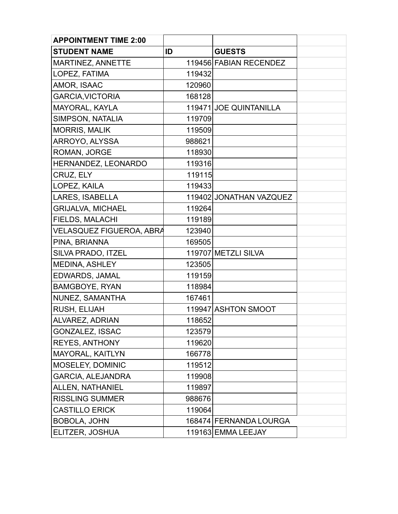| <b>APPOINTMENT TIME 2:00</b> |        |                         |  |
|------------------------------|--------|-------------------------|--|
| <b>STUDENT NAME</b>          | ID     | <b>GUESTS</b>           |  |
| <b>MARTINEZ, ANNETTE</b>     |        | 119456 FABIAN RECENDEZ  |  |
| LOPEZ, FATIMA                | 119432 |                         |  |
| AMOR, ISAAC                  | 120960 |                         |  |
| <b>GARCIA, VICTORIA</b>      | 168128 |                         |  |
| MAYORAL, KAYLA               |        | 119471 JOE QUINTANILLA  |  |
| SIMPSON, NATALIA             | 119709 |                         |  |
| <b>MORRIS, MALIK</b>         | 119509 |                         |  |
| ARROYO, ALYSSA               | 988621 |                         |  |
| ROMAN, JORGE                 | 118930 |                         |  |
| HERNANDEZ, LEONARDO          | 119316 |                         |  |
| CRUZ, ELY                    | 119115 |                         |  |
| LOPEZ, KAILA                 | 119433 |                         |  |
| <b>LARES, ISABELLA</b>       |        | 119402 JONATHAN VAZQUEZ |  |
| <b>GRIJALVA, MICHAEL</b>     | 119264 |                         |  |
| <b>FIELDS, MALACHI</b>       | 119189 |                         |  |
| VELASQUEZ FIGUEROA, ABRA     | 123940 |                         |  |
| PINA, BRIANNA                | 169505 |                         |  |
| SILVA PRADO, ITZEL           |        | 119707 METZLI SILVA     |  |
| <b>MEDINA, ASHLEY</b>        | 123505 |                         |  |
| EDWARDS, JAMAL               | 119159 |                         |  |
| <b>BAMGBOYE, RYAN</b>        | 118984 |                         |  |
| NUNEZ, SAMANTHA              | 167461 |                         |  |
| RUSH, ELIJAH                 |        | 119947 ASHTON SMOOT     |  |
| <b>ALVAREZ, ADRIAN</b>       | 118652 |                         |  |
| <b>GONZALEZ, ISSAC</b>       | 123579 |                         |  |
| <b>REYES, ANTHONY</b>        | 119620 |                         |  |
| MAYORAL, KAITLYN             | 166778 |                         |  |
| MOSELEY, DOMINIC             | 119512 |                         |  |
| <b>GARCIA, ALEJANDRA</b>     | 119908 |                         |  |
| ALLEN, NATHANIEL             | 119897 |                         |  |
| <b>RISSLING SUMMER</b>       | 988676 |                         |  |
| <b>CASTILLO ERICK</b>        | 119064 |                         |  |
| <b>BOBOLA, JOHN</b>          |        | 168474 FERNANDA LOURGA  |  |
| ELITZER, JOSHUA              |        | 119163 EMMA LEEJAY      |  |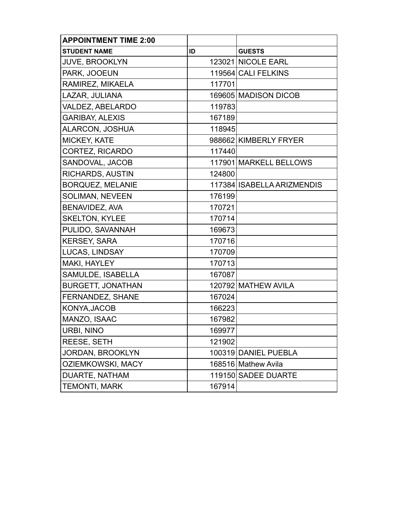| <b>APPOINTMENT TIME 2:00</b> |        |                            |
|------------------------------|--------|----------------------------|
| <b>STUDENT NAME</b>          | ID     | <b>GUESTS</b>              |
| <b>JUVE, BROOKLYN</b>        |        | 123021 NICOLE EARL         |
| PARK, JOOEUN                 |        | 119564 CALI FELKINS        |
| RAMIREZ, MIKAELA             | 117701 |                            |
| LAZAR, JULIANA               |        | 169605 MADISON DICOB       |
| VALDEZ, ABELARDO             | 119783 |                            |
| <b>GARIBAY, ALEXIS</b>       | 167189 |                            |
| <b>ALARCON, JOSHUA</b>       | 118945 |                            |
| <b>MICKEY, KATE</b>          |        | 988662 KIMBERLY FRYER      |
| CORTEZ, RICARDO              | 117440 |                            |
| SANDOVAL, JACOB              |        | 117901 MARKELL BELLOWS     |
| <b>RICHARDS, AUSTIN</b>      | 124800 |                            |
| <b>BORQUEZ, MELANIE</b>      |        | 117384 ISABELLA ARIZMENDIS |
| <b>SOLIMAN, NEVEEN</b>       | 176199 |                            |
| <b>BENAVIDEZ, AVA</b>        | 170721 |                            |
| <b>SKELTON, KYLEE</b>        | 170714 |                            |
| PULIDO, SAVANNAH             | 169673 |                            |
| <b>KERSEY, SARA</b>          | 170716 |                            |
| <b>LUCAS, LINDSAY</b>        | 170709 |                            |
| MAKI, HAYLEY                 | 170713 |                            |
| SAMULDE, ISABELLA            | 167087 |                            |
| <b>BURGETT, JONATHAN</b>     |        | 120792 MATHEW AVILA        |
| FERNANDEZ, SHANE             | 167024 |                            |
| KONYA, JACOB                 | 166223 |                            |
| MANZO, ISAAC                 | 167982 |                            |
| <b>URBI, NINO</b>            | 169977 |                            |
| <b>REESE, SETH</b>           | 121902 |                            |
| JORDAN, BROOKLYN             |        | 100319 DANIEL PUEBLA       |
| <b>OZIEMKOWSKI, MACY</b>     |        | 168516 Mathew Avila        |
| DUARTE, NATHAM               |        | 119150 SADEE DUARTE        |
| <b>TEMONTI, MARK</b>         | 167914 |                            |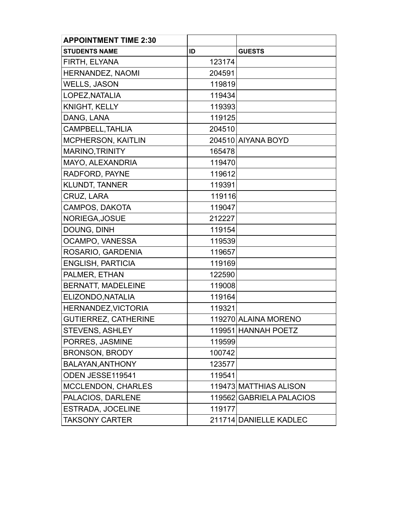| <b>APPOINTMENT TIME 2:30</b> |        |                          |
|------------------------------|--------|--------------------------|
| <b>STUDENTS NAME</b>         | ID     | <b>GUESTS</b>            |
| <b>FIRTH, ELYANA</b>         | 123174 |                          |
| <b>HERNANDEZ, NAOMI</b>      | 204591 |                          |
| <b>WELLS, JASON</b>          | 119819 |                          |
| LOPEZ, NATALIA               | 119434 |                          |
| <b>KNIGHT, KELLY</b>         | 119393 |                          |
| DANG, LANA                   | 119125 |                          |
| CAMPBELL, TAHLIA             | 204510 |                          |
| <b>MCPHERSON, KAITLIN</b>    |        | 204510 AIYANA BOYD       |
| MARINO, TRINITY              | 165478 |                          |
| MAYO, ALEXANDRIA             | 119470 |                          |
| RADFORD, PAYNE               | 119612 |                          |
| <b>KLUNDT, TANNER</b>        | 119391 |                          |
| CRUZ, LARA                   | 119116 |                          |
| CAMPOS, DAKOTA               | 119047 |                          |
| NORIEGA, JOSUE               | 212227 |                          |
| DOUNG, DINH                  | 119154 |                          |
| OCAMPO, VANESSA              | 119539 |                          |
| ROSARIO, GARDENIA            | 119657 |                          |
| <b>ENGLISH, PARTICIA</b>     | 119169 |                          |
| PALMER, ETHAN                | 122590 |                          |
| <b>BERNATT, MADELEINE</b>    | 119008 |                          |
| ELIZONDO, NATALIA            | 119164 |                          |
| <b>HERNANDEZ, VICTORIA</b>   | 119321 |                          |
| <b>GUTIERREZ, CATHERINE</b>  |        | 119270 ALAINA MORENO     |
| <b>STEVENS, ASHLEY</b>       |        | 119951 HANNAH POETZ      |
| PORRES, JASMINE              | 119599 |                          |
| <b>BRONSON, BRODY</b>        | 100742 |                          |
| BALAYAN, ANTHONY             | 123577 |                          |
| ODEN JESSE119541             | 119541 |                          |
| <b>MCCLENDON, CHARLES</b>    |        | 119473 MATTHIAS ALISON   |
| PALACIOS, DARLENE            |        | 119562 GABRIELA PALACIOS |
| <b>ESTRADA, JOCELINE</b>     | 119177 |                          |
| <b>TAKSONY CARTER</b>        |        | 211714 DANIELLE KADLEC   |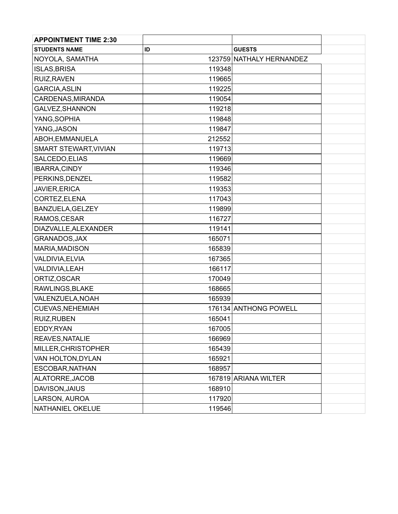| <b>APPOINTMENT TIME 2:30</b> |        |                          |  |
|------------------------------|--------|--------------------------|--|
| <b>STUDENTS NAME</b>         | ID     | <b>GUESTS</b>            |  |
| NOYOLA, SAMATHA              |        | 123759 NATHALY HERNANDEZ |  |
| <b>ISLAS, BRISA</b>          | 119348 |                          |  |
| RUIZ, RAVEN                  | 119665 |                          |  |
| <b>GARCIA, ASLIN</b>         | 119225 |                          |  |
| CARDENAS, MIRANDA            | 119054 |                          |  |
| GALVEZ, SHANNON              | 119218 |                          |  |
| YANG, SOPHIA                 | 119848 |                          |  |
| YANG, JASON                  | 119847 |                          |  |
| ABOH, EMMANUELA              | 212552 |                          |  |
| SMART STEWART, VIVIAN        | 119713 |                          |  |
| SALCEDO, ELIAS               | 119669 |                          |  |
| IBARRA, CINDY                | 119346 |                          |  |
| PERKINS, DENZEL              | 119582 |                          |  |
| JAVIER, ERICA                | 119353 |                          |  |
| CORTEZ, ELENA                | 117043 |                          |  |
| BANZUELA, GELZEY             | 119899 |                          |  |
| RAMOS, CESAR                 | 116727 |                          |  |
| DIAZVALLE, ALEXANDER         | 119141 |                          |  |
| GRANADOS, JAX                | 165071 |                          |  |
| MARIA, MADISON               | 165839 |                          |  |
| VALDIVIA, ELVIA              | 167365 |                          |  |
| VALDIVIA, LEAH               | 166117 |                          |  |
| ORTIZ, OSCAR                 | 170049 |                          |  |
| RAWLINGS, BLAKE              | 168665 |                          |  |
| VALENZUELA, NOAH             | 165939 |                          |  |
| CUEVAS, NEHEMIAH             |        | 176134 ANTHONG POWELL    |  |
| <b>RUIZ, RUBEN</b>           | 165041 |                          |  |
| EDDY, RYAN                   | 167005 |                          |  |
| REAVES, NATALIE              | 166969 |                          |  |
| MILLER, CHRISTOPHER          | 165439 |                          |  |
| VAN HOLTON, DYLAN            | 165921 |                          |  |
| ESCOBAR, NATHAN              | 168957 |                          |  |
| ALATORRE, JACOB              |        | 167819 ARIANA WILTER     |  |
| DAVISON, JAIUS               | 168910 |                          |  |
| LARSON, AUROA                | 117920 |                          |  |
| NATHANIEL OKELUE             | 119546 |                          |  |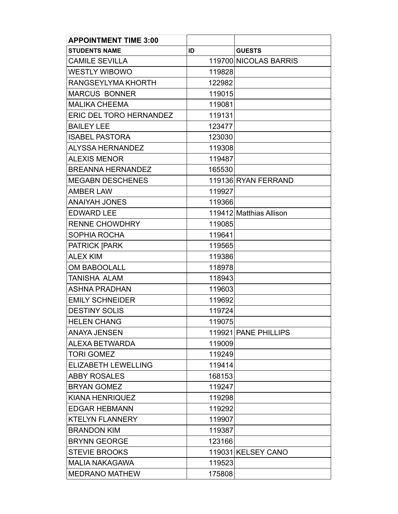| <b>APPOINTMENT TIME 3:00</b>   |        |                         |
|--------------------------------|--------|-------------------------|
| <b>STUDENTS NAME</b>           | ID     | <b>GUESTS</b>           |
| <b>CAMILE SEVILLA</b>          |        | 119700 NICOLAS BARRIS   |
| <b>WESTLY WIBOWO</b>           | 119828 |                         |
| RANGSEYLYMA KHORTH             | 122982 |                         |
| <b>MARCUS BONNER</b>           | 119015 |                         |
| <b>MALIKA CHEEMA</b>           | 119081 |                         |
| <b>ERIC DEL TORO HERNANDEZ</b> | 119131 |                         |
| <b>BAILEY LEE</b>              | 123477 |                         |
| <b>ISABEL PASTORA</b>          | 123030 |                         |
| ALYSSA HERNANDEZ               | 119308 |                         |
| <b>ALEXIS MENOR</b>            | 119487 |                         |
| <b>BREANNA HERNANDEZ</b>       | 165530 |                         |
| <b>MEGABN DESCHENES</b>        |        | 119136 RYAN FERRAND     |
| <b>AMBER LAW</b>               | 119927 |                         |
| <b>ANAIYAH JONES</b>           | 119366 |                         |
| <b>EDWARD LEE</b>              |        | 119412 Matthias Allison |
| <b>RENNE CHOWDHRY</b>          | 119085 |                         |
| SOPHIA ROCHA                   | 119641 |                         |
| <b>PATRICK [PARK</b>           | 119565 |                         |
| <b>ALEX KIM</b>                | 119386 |                         |
| <b>OM BABOOLALL</b>            | 118978 |                         |
| TANISHA ALAM                   | 118943 |                         |
| <b>ASHNA PRADHAN</b>           | 119603 |                         |
| <b>EMILY SCHNEIDER</b>         | 119692 |                         |
| <b>DESTINY SOLIS</b>           | 119724 |                         |
| <b>HELEN CHANG</b>             | 119075 |                         |
| <b>ANAYA JENSEN</b>            |        | 119921 PANE PHILLIPS    |
| ALEXA BETWARDA                 | 119009 |                         |
| <b>TORI GOMEZ</b>              | 119249 |                         |
| <b>ELIZABETH LEWELLING</b>     | 119414 |                         |
| <b>ABBY ROSALES</b>            | 168153 |                         |
| <b>BRYAN GOMEZ</b>             | 119247 |                         |
| <b>KIANA HENRIQUEZ</b>         | 119298 |                         |
| <b>EDGAR HEBMANN</b>           | 119292 |                         |
| <b>KTELYN FLANNERY</b>         | 119907 |                         |
| <b>BRANDON KIM</b>             | 119387 |                         |
| <b>BRYNN GEORGE</b>            | 123166 |                         |
| <b>STEVIE BROOKS</b>           |        | 119031 KELSEY CANO      |
| <b>MALIA NAKAGAWA</b>          | 119523 |                         |
| <b>MEDRANO MATHEW</b>          | 175808 |                         |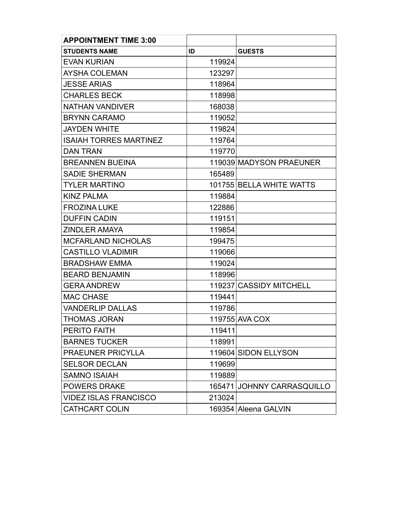| <b>APPOINTMENT TIME 3:00</b>  |        |                            |
|-------------------------------|--------|----------------------------|
| <b>STUDENTS NAME</b>          | ID     | <b>GUESTS</b>              |
| <b>EVAN KURIAN</b>            | 119924 |                            |
| <b>AYSHA COLEMAN</b>          | 123297 |                            |
| <b>JESSE ARIAS</b>            | 118964 |                            |
| <b>CHARLES BECK</b>           | 118998 |                            |
| NATHAN VANDIVER               | 168038 |                            |
| <b>BRYNN CARAMO</b>           | 119052 |                            |
| <b>JAYDEN WHITE</b>           | 119824 |                            |
| <b>ISAIAH TORRES MARTINEZ</b> | 119764 |                            |
| <b>DAN TRAN</b>               | 119770 |                            |
| <b>BREANNEN BUEINA</b>        |        | 119039 MADYSON PRAEUNER    |
| <b>SADIE SHERMAN</b>          | 165489 |                            |
| <b>TYLER MARTINO</b>          |        | 101755 BELLA WHITE WATTS   |
| <b>KINZ PALMA</b>             | 119884 |                            |
| <b>FROZINA LUKE</b>           | 122886 |                            |
| <b>DUFFIN CADIN</b>           | 119151 |                            |
| <b>ZINDLER AMAYA</b>          | 119854 |                            |
| <b>MCFARLAND NICHOLAS</b>     | 199475 |                            |
| <b>CASTILLO VLADIMIR</b>      | 119066 |                            |
| <b>BRADSHAW EMMA</b>          | 119024 |                            |
| <b>BEARD BENJAMIN</b>         | 118996 |                            |
| <b>GERA ANDREW</b>            |        | 119237 CASSIDY MITCHELL    |
| <b>MAC CHASE</b>              | 119441 |                            |
| <b>VANDERLIP DALLAS</b>       | 119786 |                            |
| <b>THOMAS JORAN</b>           |        | 119755 AVA COX             |
| PERITO FAITH                  | 119411 |                            |
| <b>BARNES TUCKER</b>          | 118991 |                            |
| <b>PRAEUNER PRICYLLA</b>      |        | 119604 SIDON ELLYSON       |
| <b>SELSOR DECLAN</b>          | 119699 |                            |
| <b>SAMNO ISAIAH</b>           | 119889 |                            |
| <b>POWERS DRAKE</b>           |        | 165471 JOHNNY CARRASQUILLO |
| <b>VIDEZ ISLAS FRANCISCO</b>  | 213024 |                            |
| <b>CATHCART COLIN</b>         |        | 169354 Aleena GALVIN       |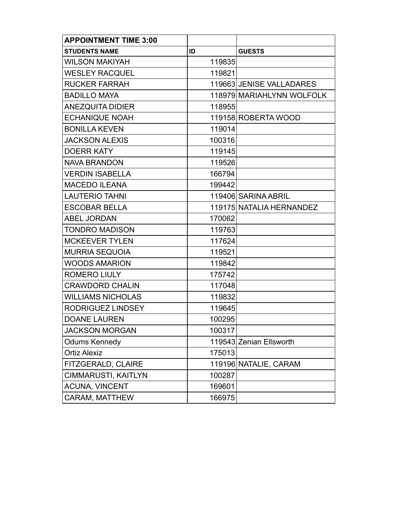| <b>APPOINTMENT TIME 3:00</b> |        |                           |
|------------------------------|--------|---------------------------|
| <b>STUDENTS NAME</b>         | ID     | <b>GUESTS</b>             |
| <b>WILSON MAKIYAH</b>        | 119835 |                           |
| <b>WESLEY RACQUEL</b>        | 119821 |                           |
| <b>RUCKER FARRAH</b>         |        | 119663 JENISE VALLADARES  |
| <b>BADILLO MAYA</b>          |        | 118979 MARIAHLYNN WOLFOLK |
| <b>ANEZQUITA DIDIER</b>      | 118955 |                           |
| <b>ECHANIQUE NOAH</b>        |        | 119158 ROBERTA WOOD       |
| <b>BONILLA KEVEN</b>         | 119014 |                           |
| <b>JACKSON ALEXIS</b>        | 100316 |                           |
| <b>DOERR KATY</b>            | 119145 |                           |
| <b>NAVA BRANDON</b>          | 119526 |                           |
| <b>VERDIN ISABELLA</b>       | 166794 |                           |
| <b>MACEDO ILEANA</b>         | 199442 |                           |
| <b>LAUTERIO TAHNI</b>        |        | 119406 SARINA ABRIL       |
| <b>ESCOBAR BELLA</b>         |        | 119175 NATALIA HERNANDEZ  |
| <b>ABEL JORDAN</b>           | 170062 |                           |
| <b>TONDRO MADISON</b>        | 119763 |                           |
| <b>MCKEEVER TYLEN</b>        | 117624 |                           |
| <b>MURRIA SEQUOIA</b>        | 119521 |                           |
| <b>WOODS AMARION</b>         | 119842 |                           |
| <b>ROMERO LIULY</b>          | 175742 |                           |
| <b>CRAWDORD CHALIN</b>       | 117048 |                           |
| <b>WILLIAMS NICHOLAS</b>     | 119832 |                           |
| RODRIGUEZ LINDSEY            | 119645 |                           |
| <b>DOANE LAUREN</b>          | 100295 |                           |
| <b>JACKSON MORGAN</b>        | 100317 |                           |
| <b>Odums Kennedy</b>         |        | 119543 Zenian Ellsworth   |
| <b>Ortiz Alexiz</b>          | 175013 |                           |
| FITZGERALD, CLAIRE           |        | 119196 NATALIE, CARAM     |
| <b>CIMMARUSTI, KAITLYN</b>   | 100287 |                           |
| <b>ACUNA, VINCENT</b>        | 169601 |                           |
| CARAM, MATTHEW               | 166975 |                           |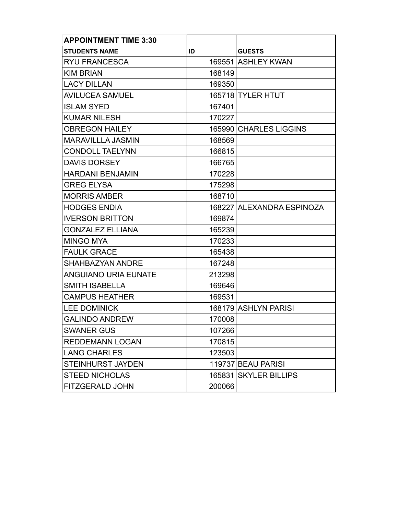| <b>APPOINTMENT TIME 3:30</b> |        |                           |
|------------------------------|--------|---------------------------|
| <b>STUDENTS NAME</b>         | ID     | <b>GUESTS</b>             |
| <b>RYU FRANCESCA</b>         |        | 169551 ASHLEY KWAN        |
| <b>KIM BRIAN</b>             | 168149 |                           |
| <b>LACY DILLAN</b>           | 169350 |                           |
| <b>AVILUCEA SAMUEL</b>       |        | 165718 TYLER HTUT         |
| <b>ISLAM SYED</b>            | 167401 |                           |
| <b>KUMAR NILESH</b>          | 170227 |                           |
| <b>OBREGON HAILEY</b>        |        | 165990 CHARLES LIGGINS    |
| <b>MARAVILLLA JASMIN</b>     | 168569 |                           |
| <b>CONDOLL TAELYNN</b>       | 166815 |                           |
| <b>DAVIS DORSEY</b>          | 166765 |                           |
| <b>HARDANI BENJAMIN</b>      | 170228 |                           |
| <b>GREG ELYSA</b>            | 175298 |                           |
| <b>MORRIS AMBER</b>          | 168710 |                           |
| <b>HODGES ENDIA</b>          |        | 168227 ALEXANDRA ESPINOZA |
| <b>IVERSON BRITTON</b>       | 169874 |                           |
| <b>GONZALEZ ELLIANA</b>      | 165239 |                           |
| <b>MINGO MYA</b>             | 170233 |                           |
| <b>FAULK GRACE</b>           | 165438 |                           |
| <b>SHAHBAZYAN ANDRE</b>      | 167248 |                           |
| <b>ANGUIANO URIA EUNATE</b>  | 213298 |                           |
| <b>SMITH ISABELLA</b>        | 169646 |                           |
| <b>CAMPUS HEATHER</b>        | 169531 |                           |
| <b>LEE DOMINICK</b>          |        | 168179 ASHLYN PARISI      |
| <b>GALINDO ANDREW</b>        | 170008 |                           |
| <b>SWANER GUS</b>            | 107266 |                           |
| <b>REDDEMANN LOGAN</b>       | 170815 |                           |
| <b>LANG CHARLES</b>          | 123503 |                           |
| STEINHURST JAYDEN            |        | 119737 BEAU PARISI        |
| <b>STEED NICHOLAS</b>        |        | 165831 SKYLER BILLIPS     |
| FITZGERALD JOHN              | 200066 |                           |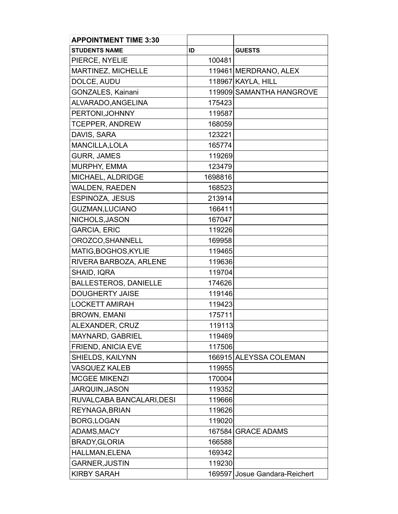| <b>APPOINTMENT TIME 3:30</b> |         |                               |
|------------------------------|---------|-------------------------------|
| <b>STUDENTS NAME</b>         | ID      | <b>GUESTS</b>                 |
| PIERCE, NYELIE               | 100481  |                               |
| MARTINEZ, MICHELLE           |         | 119461 MERDRANO, ALEX         |
| DOLCE, AUDU                  |         | 118967 KAYLA, HILL            |
| GONZALES, Kainani            |         | 119909 SAMANTHA HANGROVE      |
| ALVARADO, ANGELINA           | 175423  |                               |
| PERTONI, JOHNNY              | 119587  |                               |
| <b>TCEPPER, ANDREW</b>       | 168059  |                               |
| DAVIS, SARA                  | 123221  |                               |
| MANCILLA, LOLA               | 165774  |                               |
| <b>GURR, JAMES</b>           | 119269  |                               |
| MURPHY, EMMA                 | 123479  |                               |
| MICHAEL, ALDRIDGE            | 1698816 |                               |
| <b>WALDEN, RAEDEN</b>        | 168523  |                               |
| ESPINOZA, JESUS              | 213914  |                               |
| <b>GUZMAN, LUCIANO</b>       | 166411  |                               |
| NICHOLS, JASON               | 167047  |                               |
| <b>GARCIA, ERIC</b>          | 119226  |                               |
| OROZCO, SHANNELL             | 169958  |                               |
| MATIG, BOGHOS, KYLIE         | 119465  |                               |
| RIVERA BARBOZA, ARLENE       | 119636  |                               |
| SHAID, IQRA                  | 119704  |                               |
| <b>BALLESTEROS, DANIELLE</b> | 174626  |                               |
| <b>DOUGHERTY JAISE</b>       | 119146  |                               |
| <b>LOCKETT AMIRAH</b>        | 119423  |                               |
| <b>BROWN, EMANI</b>          | 175711  |                               |
| ALEXANDER, CRUZ              | 119113  |                               |
| MAYNARD, GABRIEL             | 119469  |                               |
| FRIEND, ANICIA EVE           | 117506  |                               |
| SHIELDS, KAILYNN             |         | 166915 ALEYSSA COLEMAN        |
| <b>VASQUEZ KALEB</b>         | 119955  |                               |
| <b>MCGEE MIKENZI</b>         | 170004  |                               |
| <b>JARQUIN, JASON</b>        | 119352  |                               |
| RUVALCABA BANCALARI, DESI    | 119666  |                               |
| REYNAGA, BRIAN               | 119626  |                               |
| BORG, LOGAN                  | 119020  |                               |
| <b>ADAMS, MACY</b>           |         | 167584 GRACE ADAMS            |
| <b>BRADY, GLORIA</b>         | 166588  |                               |
| HALLMAN, ELENA               | 169342  |                               |
| <b>GARNER, JUSTIN</b>        | 119230  |                               |
| <b>KIRBY SARAH</b>           |         | 169597 Josue Gandara-Reichert |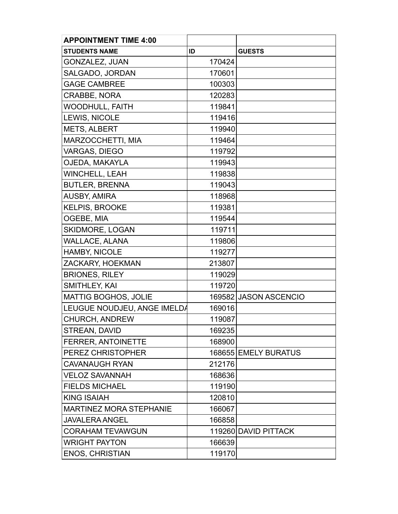| <b>APPOINTMENT TIME 4:00</b>   |        |                       |
|--------------------------------|--------|-----------------------|
| <b>STUDENTS NAME</b>           | ID     | <b>GUESTS</b>         |
| <b>GONZALEZ, JUAN</b>          | 170424 |                       |
| SALGADO, JORDAN                | 170601 |                       |
| <b>GAGE CAMBREE</b>            | 100303 |                       |
| <b>CRABBE, NORA</b>            | 120283 |                       |
| <b>WOODHULL, FAITH</b>         | 119841 |                       |
| LEWIS, NICOLE                  | 119416 |                       |
| <b>METS, ALBERT</b>            | 119940 |                       |
| MARZOCCHETTI, MIA              | 119464 |                       |
| VARGAS, DIEGO                  | 119792 |                       |
| OJEDA, MAKAYLA                 | 119943 |                       |
| <b>WINCHELL, LEAH</b>          | 119838 |                       |
| <b>BUTLER, BRENNA</b>          | 119043 |                       |
| <b>AUSBY, AMIRA</b>            | 118968 |                       |
| <b>KELPIS, BROOKE</b>          | 119381 |                       |
| OGEBE, MIA                     | 119544 |                       |
| <b>SKIDMORE, LOGAN</b>         | 119711 |                       |
| <b>WALLACE, ALANA</b>          | 119806 |                       |
| HAMBY, NICOLE                  | 119277 |                       |
| ZACKARY, HOEKMAN               | 213807 |                       |
| <b>BRIONES, RILEY</b>          | 119029 |                       |
| SMITHLEY, KAI                  | 119720 |                       |
| <b>MATTIG BOGHOS, JOLIE</b>    |        | 169582 JASON ASCENCIO |
| LEUGUE NOUDJEU, ANGE IMELDA    | 169016 |                       |
| <b>CHURCH, ANDREW</b>          | 119087 |                       |
| STREAN, DAVID                  | 169235 |                       |
| <b>FERRER, ANTOINETTE</b>      | 168900 |                       |
| PEREZ CHRISTOPHER              |        | 168655 EMELY BURATUS  |
| <b>CAVANAUGH RYAN</b>          | 212176 |                       |
| <b>VELOZ SAVANNAH</b>          | 168636 |                       |
| <b>FIELDS MICHAEL</b>          | 119190 |                       |
| <b>KING ISAIAH</b>             | 120810 |                       |
| <b>MARTINEZ MORA STEPHANIE</b> | 166067 |                       |
| <b>JAVALERA ANGEL</b>          | 166858 |                       |
| <b>CORAHAM TEVAWGUN</b>        |        | 119260 DAVID PITTACK  |
| <b>WRIGHT PAYTON</b>           | 166639 |                       |
| <b>ENOS, CHRISTIAN</b>         | 119170 |                       |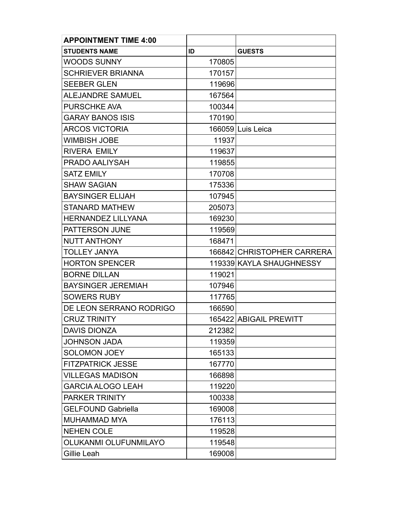| <b>APPOINTMENT TIME 4:00</b> |        |                            |
|------------------------------|--------|----------------------------|
| <b>STUDENTS NAME</b>         | ID     | <b>GUESTS</b>              |
| <b>WOODS SUNNY</b>           | 170805 |                            |
| <b>SCHRIEVER BRIANNA</b>     | 170157 |                            |
| <b>SEEBER GLEN</b>           | 119696 |                            |
| <b>ALEJANDRE SAMUEL</b>      | 167564 |                            |
| PURSCHKE AVA                 | 100344 |                            |
| <b>GARAY BANOS ISIS</b>      | 170190 |                            |
| <b>ARCOS VICTORIA</b>        |        | 166059 Luis Leica          |
| <b>WIMBISH JOBE</b>          | 11937  |                            |
| <b>RIVERA EMILY</b>          | 119637 |                            |
| PRADO AALIYSAH               | 119855 |                            |
| <b>SATZ EMILY</b>            | 170708 |                            |
| <b>SHAW SAGIAN</b>           | 175336 |                            |
| <b>BAYSINGER ELIJAH</b>      | 107945 |                            |
| STANARD MATHEW               | 205073 |                            |
| <b>HERNANDEZ LILLYANA</b>    | 169230 |                            |
| PATTERSON JUNE               | 119569 |                            |
| <b>NUTT ANTHONY</b>          | 168471 |                            |
| <b>TOLLEY JANYA</b>          |        | 166842 CHRISTOPHER CARRERA |
| <b>HORTON SPENCER</b>        |        | 119339 KAYLA SHAUGHNESSY   |
| <b>BORNE DILLAN</b>          | 119021 |                            |
| <b>BAYSINGER JEREMIAH</b>    | 107946 |                            |
| <b>SOWERS RUBY</b>           | 117765 |                            |
| DE LEON SERRANO RODRIGO      | 166590 |                            |
| <b>CRUZ TRINITY</b>          |        | 165422 ABIGAIL PREWITT     |
| <b>DAVIS DIONZA</b>          | 212382 |                            |
| <b>JOHNSON JADA</b>          | 119359 |                            |
| <b>SOLOMON JOEY</b>          | 165133 |                            |
| <b>FITZPATRICK JESSE</b>     | 167770 |                            |
| <b>VILLEGAS MADISON</b>      | 166898 |                            |
| <b>GARCIA ALOGO LEAH</b>     | 119220 |                            |
| <b>PARKER TRINITY</b>        | 100338 |                            |
| <b>GELFOUND Gabriella</b>    | 169008 |                            |
| <b>MUHAMMAD MYA</b>          | 176113 |                            |
| <b>NEHEN COLE</b>            | 119528 |                            |
| OLUKANMI OLUFUNMILAYO        | 119548 |                            |
| Gillie Leah                  | 169008 |                            |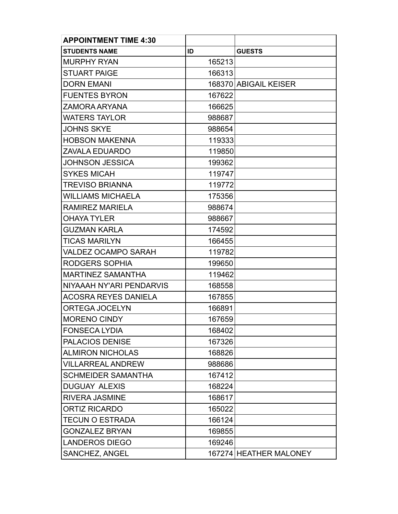| <b>APPOINTMENT TIME 4:30</b> |        |                        |
|------------------------------|--------|------------------------|
| <b>STUDENTS NAME</b>         | ID     | <b>GUESTS</b>          |
| <b>MURPHY RYAN</b>           | 165213 |                        |
| <b>STUART PAIGE</b>          | 166313 |                        |
| <b>DORN EMANI</b>            |        | 168370 ABIGAIL KEISER  |
| <b>FUENTES BYRON</b>         | 167622 |                        |
| ZAMORA ARYANA                | 166625 |                        |
| <b>WATERS TAYLOR</b>         | 988687 |                        |
| <b>JOHNS SKYE</b>            | 988654 |                        |
| <b>HOBSON MAKENNA</b>        | 119333 |                        |
| <b>ZAVALA EDUARDO</b>        | 119850 |                        |
| <b>JOHNSON JESSICA</b>       | 199362 |                        |
| <b>SYKES MICAH</b>           | 119747 |                        |
| <b>TREVISO BRIANNA</b>       | 119772 |                        |
| <b>WILLIAMS MICHAELA</b>     | 175356 |                        |
| RAMIREZ MARIELA              | 988674 |                        |
| <b>OHAYA TYLER</b>           | 988667 |                        |
| <b>GUZMAN KARLA</b>          | 174592 |                        |
| <b>TICAS MARILYN</b>         | 166455 |                        |
| <b>VALDEZ OCAMPO SARAH</b>   | 119782 |                        |
| RODGERS SOPHIA               | 199650 |                        |
| <b>MARTINEZ SAMANTHA</b>     | 119462 |                        |
| NIYAAAH NY'ARI PENDARVIS     | 168558 |                        |
| <b>ACOSRA REYES DANIELA</b>  | 167855 |                        |
| <b>ORTEGA JOCELYN</b>        | 166891 |                        |
| <b>MORENO CINDY</b>          | 167659 |                        |
| <b>FONSECA LYDIA</b>         | 168402 |                        |
| PALACIOS DENISE              | 167326 |                        |
| <b>ALMIRON NICHOLAS</b>      | 168826 |                        |
| <b>VILLARREAL ANDREW</b>     | 988686 |                        |
| <b>SCHMEIDER SAMANTHA</b>    | 167412 |                        |
| <b>DUGUAY ALEXIS</b>         | 168224 |                        |
| <b>RIVERA JASMINE</b>        | 168617 |                        |
| <b>ORTIZ RICARDO</b>         | 165022 |                        |
| <b>TECUN O ESTRADA</b>       | 166124 |                        |
| <b>GONZALEZ BRYAN</b>        | 169855 |                        |
| <b>LANDEROS DIEGO</b>        | 169246 |                        |
| SANCHEZ, ANGEL               |        | 167274 HEATHER MALONEY |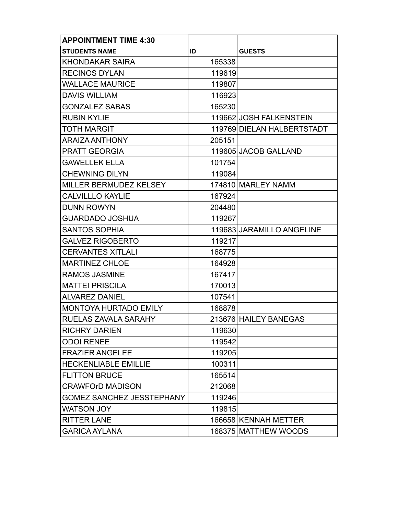| <b>APPOINTMENT TIME 4:30</b>     |        |                            |
|----------------------------------|--------|----------------------------|
| <b>STUDENTS NAME</b>             | ID     | <b>GUESTS</b>              |
| KHONDAKAR SAIRA                  | 165338 |                            |
| <b>RECINOS DYLAN</b>             | 119619 |                            |
| <b>WALLACE MAURICE</b>           | 119807 |                            |
| <b>DAVIS WILLIAM</b>             | 116923 |                            |
| <b>GONZALEZ SABAS</b>            | 165230 |                            |
| <b>RUBIN KYLIE</b>               |        | 119662 JOSH FALKENSTEIN    |
| <b>TOTH MARGIT</b>               |        | 119769 DIELAN HALBERTSTADT |
| <b>ARAIZA ANTHONY</b>            | 205151 |                            |
| <b>PRATT GEORGIA</b>             |        | 119605 JACOB GALLAND       |
| <b>GAWELLEK ELLA</b>             | 101754 |                            |
| <b>CHEWNING DILYN</b>            | 119084 |                            |
| MILLER BERMUDEZ KELSEY           |        | 174810 MARLEY NAMM         |
| <b>CALVILLLO KAYLIE</b>          | 167924 |                            |
| <b>DUNN ROWYN</b>                | 204480 |                            |
| <b>GUARDADO JOSHUA</b>           | 119267 |                            |
| <b>SANTOS SOPHIA</b>             |        | 119683 JARAMILLO ANGELINE  |
| <b>GALVEZ RIGOBERTO</b>          | 119217 |                            |
| <b>CERVANTES XITLALI</b>         | 168775 |                            |
| <b>MARTINEZ CHLOE</b>            | 164928 |                            |
| <b>RAMOS JASMINE</b>             | 167417 |                            |
| <b>MATTEI PRISCILA</b>           | 170013 |                            |
| <b>ALVAREZ DANIEL</b>            | 107541 |                            |
| <b>MONTOYA HURTADO EMILY</b>     | 168878 |                            |
| RUELAS ZAVALA SARAHY             |        | 213676 HAILEY BANEGAS      |
| <b>RICHRY DARIEN</b>             | 119630 |                            |
| <b>ODOI RENEE</b>                | 119542 |                            |
| <b>FRAZIER ANGELEE</b>           | 119205 |                            |
| <b>HECKENLIABLE EMILLIE</b>      | 100311 |                            |
| <b>FLITTON BRUCE</b>             | 165514 |                            |
| <b>CRAWFOrD MADISON</b>          | 212068 |                            |
| <b>GOMEZ SANCHEZ JESSTEPHANY</b> | 119246 |                            |
| <b>WATSON JOY</b>                | 119815 |                            |
| <b>RITTER LANE</b>               |        | 166658 KENNAH METTER       |
| <b>GARICA AYLANA</b>             |        | 168375 MATTHEW WOODS       |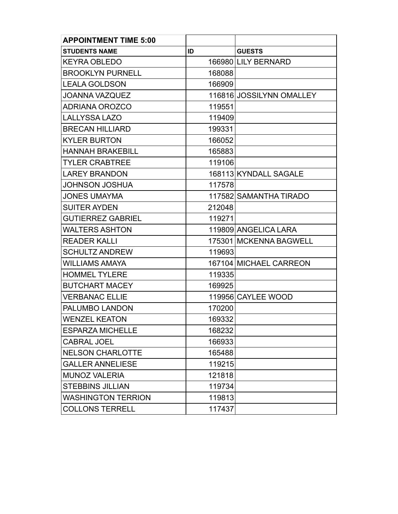| <b>APPOINTMENT TIME 5:00</b> |        |                          |
|------------------------------|--------|--------------------------|
| <b>STUDENTS NAME</b>         | ID     | <b>GUESTS</b>            |
| <b>KEYRA OBLEDO</b>          |        | 166980 LILY BERNARD      |
| <b>BROOKLYN PURNELL</b>      | 168088 |                          |
| <b>LEALA GOLDSON</b>         | 166909 |                          |
| <b>JOANNA VAZQUEZ</b>        |        | 116816 JOSSILYNN OMALLEY |
| <b>ADRIANA OROZCO</b>        | 119551 |                          |
| <b>LALLYSSA LAZO</b>         | 119409 |                          |
| <b>BRECAN HILLIARD</b>       | 199331 |                          |
| <b>KYLER BURTON</b>          | 166052 |                          |
| <b>HANNAH BRAKEBILL</b>      | 165883 |                          |
| <b>TYLER CRABTREE</b>        | 119106 |                          |
| <b>LAREY BRANDON</b>         |        | 168113 KYNDALL SAGALE    |
| <b>JOHNSON JOSHUA</b>        | 117578 |                          |
| <b>JONES UMAYMA</b>          |        | 117582 SAMANTHA TIRADO   |
| <b>SUITER AYDEN</b>          | 212048 |                          |
| <b>GUTIERREZ GABRIEL</b>     | 119271 |                          |
| <b>WALTERS ASHTON</b>        |        | 119809 ANGELICA LARA     |
| <b>READER KALLI</b>          |        | 175301 MCKENNA BAGWELL   |
| <b>SCHULTZ ANDREW</b>        | 119693 |                          |
| <b>WILLIAMS AMAYA</b>        |        | 167104 MICHAEL CARREON   |
| <b>HOMMEL TYLERE</b>         | 119335 |                          |
| <b>BUTCHART MACEY</b>        | 169925 |                          |
| <b>VERBANAC ELLIE</b>        |        | 119956 CAYLEE WOOD       |
| <b>PALUMBO LANDON</b>        | 170200 |                          |
| <b>WENZEL KEATON</b>         | 169332 |                          |
| <b>ESPARZA MICHELLE</b>      | 168232 |                          |
| <b>CABRAL JOEL</b>           | 166933 |                          |
| <b>NELSON CHARLOTTE</b>      | 165488 |                          |
| <b>GALLER ANNELIESE</b>      | 119215 |                          |
| <b>MUNOZ VALERIA</b>         | 121818 |                          |
| <b>STEBBINS JILLIAN</b>      | 119734 |                          |
| <b>WASHINGTON TERRION</b>    | 119813 |                          |
| <b>COLLONS TERRELL</b>       | 117437 |                          |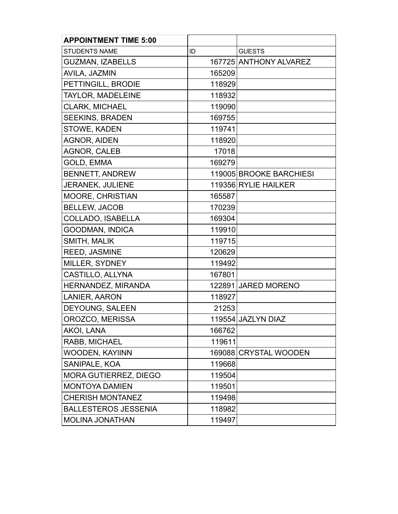| <b>APPOINTMENT TIME 5:00</b> |        |                         |
|------------------------------|--------|-------------------------|
| <b>STUDENTS NAME</b>         | ID     | <b>GUESTS</b>           |
| <b>GUZMAN, IZABELLS</b>      |        | 167725 ANTHONY ALVAREZ  |
| AVILA, JAZMIN                | 165209 |                         |
| PETTINGILL, BRODIE           | 118929 |                         |
| TAYLOR, MADELEINE            | 118932 |                         |
| <b>CLARK, MICHAEL</b>        | 119090 |                         |
| <b>SEEKINS, BRADEN</b>       | 169755 |                         |
| STOWE, KADEN                 | 119741 |                         |
| <b>AGNOR, AIDEN</b>          | 118920 |                         |
| AGNOR, CALEB                 | 17018  |                         |
| GOLD, EMMA                   | 169279 |                         |
| <b>BENNETT, ANDREW</b>       |        | 119005 BROOKE BARCHIESI |
| JERANEK, JULIENE             |        | 119356 RYLIE HAILKER    |
| MOORE, CHRISTIAN             | 165587 |                         |
| <b>BELLEW, JACOB</b>         | 170239 |                         |
| COLLADO, ISABELLA            | 169304 |                         |
| <b>GOODMAN, INDICA</b>       | 119910 |                         |
| <b>SMITH, MALIK</b>          | 119715 |                         |
| REED, JASMINE                | 120629 |                         |
| MILLER, SYDNEY               | 119492 |                         |
| CASTILLO, ALLYNA             | 167801 |                         |
| HERNANDEZ, MIRANDA           |        | 122891 JARED MORENO     |
| LANIER, AARON                | 118927 |                         |
| DEYOUNG, SALEEN              | 21253  |                         |
| OROZCO, MERISSA              |        | 119554 JAZLYN DIAZ      |
| AKOI, LANA                   | 166762 |                         |
| RABB, MICHAEL                | 119611 |                         |
| WOODEN, KAYIINN              |        | 169088 CRYSTAL WOODEN   |
| SANIPALE, KOA                | 119668 |                         |
| <b>MORA GUTIERREZ, DIEGO</b> | 119504 |                         |
| <b>MONTOYA DAMIEN</b>        | 119501 |                         |
| <b>CHERISH MONTANEZ</b>      | 119498 |                         |
| <b>BALLESTEROS JESSENIA</b>  | 118982 |                         |
| <b>MOLINA JONATHAN</b>       | 119497 |                         |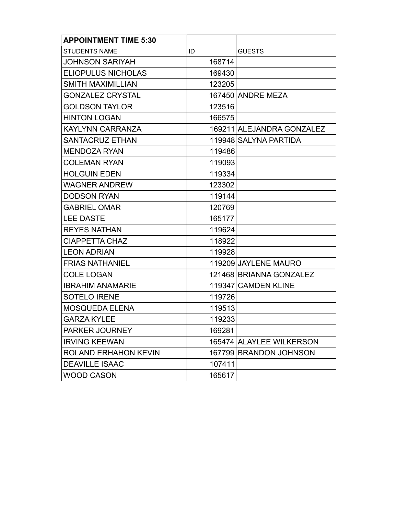| <b>APPOINTMENT TIME 5:30</b> |        |                           |
|------------------------------|--------|---------------------------|
| <b>STUDENTS NAME</b>         | ID     | <b>GUESTS</b>             |
| JOHNSON SARIYAH              | 168714 |                           |
| <b>ELIOPULUS NICHOLAS</b>    | 169430 |                           |
| <b>SMITH MAXIMILLIAN</b>     | 123205 |                           |
| <b>GONZALEZ CRYSTAL</b>      |        | 167450 ANDRE MEZA         |
| <b>GOLDSON TAYLOR</b>        | 123516 |                           |
| <b>HINTON LOGAN</b>          | 166575 |                           |
| <b>KAYLYNN CARRANZA</b>      |        | 169211 ALEJANDRA GONZALEZ |
| <b>SANTACRUZ ETHAN</b>       |        | 119948 SALYNA PARTIDA     |
| <b>MENDOZA RYAN</b>          | 119486 |                           |
| <b>COLEMAN RYAN</b>          | 119093 |                           |
| <b>HOLGUIN EDEN</b>          | 119334 |                           |
| <b>WAGNER ANDREW</b>         | 123302 |                           |
| <b>DODSON RYAN</b>           | 119144 |                           |
| <b>GABRIEL OMAR</b>          | 120769 |                           |
| <b>LEE DASTE</b>             | 165177 |                           |
| <b>REYES NATHAN</b>          | 119624 |                           |
| <b>CIAPPETTA CHAZ</b>        | 118922 |                           |
| <b>LEON ADRIAN</b>           | 119928 |                           |
| <b>FRIAS NATHANIEL</b>       |        | 119209 JAYLENE MAURO      |
| <b>COLE LOGAN</b>            |        | 121468 BRIANNA GONZALEZ   |
| <b>IBRAHIM ANAMARIE</b>      |        | 119347 CAMDEN KLINE       |
| <b>SOTELO IRENE</b>          | 119726 |                           |
| <b>MOSQUEDA ELENA</b>        | 119513 |                           |
| <b>GARZA KYLEE</b>           | 119233 |                           |
| PARKER JOURNEY               | 169281 |                           |
| <b>IRVING KEEWAN</b>         |        | 165474 ALAYLEE WILKERSON  |
| <b>ROLAND ERHAHON KEVIN</b>  |        | 167799 BRANDON JOHNSON    |
| <b>DEAVILLE ISAAC</b>        | 107411 |                           |
| <b>WOOD CASON</b>            | 165617 |                           |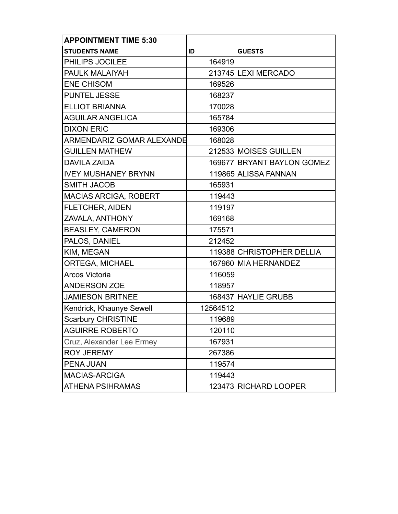| <b>APPOINTMENT TIME 5:30</b> |          |                            |
|------------------------------|----------|----------------------------|
| <b>STUDENTS NAME</b>         | ID       | <b>GUESTS</b>              |
| PHILIPS JOCILEE              | 164919   |                            |
| PAULK MALAIYAH               |          | 213745 LEXI MERCADO        |
| <b>ENE CHISOM</b>            | 169526   |                            |
| <b>PUNTEL JESSE</b>          | 168237   |                            |
| <b>ELLIOT BRIANNA</b>        | 170028   |                            |
| <b>AGUILAR ANGELICA</b>      | 165784   |                            |
| <b>DIXON ERIC</b>            | 169306   |                            |
| ARMENDARIZ GOMAR ALEXANDE    | 168028   |                            |
| <b>GUILLEN MATHEW</b>        |          | 212533 MOISES GUILLEN      |
| <b>DAVILA ZAIDA</b>          |          | 169677 BRYANT BAYLON GOMEZ |
| <b>IVEY MUSHANEY BRYNN</b>   |          | 119865 ALISSA FANNAN       |
| <b>SMITH JACOB</b>           | 165931   |                            |
| <b>MACIAS ARCIGA, ROBERT</b> | 119443   |                            |
| <b>FLETCHER, AIDEN</b>       | 119197   |                            |
| ZAVALA, ANTHONY              | 169168   |                            |
| <b>BEASLEY, CAMERON</b>      | 175571   |                            |
| PALOS, DANIEL                | 212452   |                            |
| KIM, MEGAN                   |          | 119388 CHRISTOPHER DELLIA  |
| <b>ORTEGA, MICHAEL</b>       |          | 167960 MIA HERNANDEZ       |
| Arcos Victoria               | 116059   |                            |
| <b>ANDERSON ZOE</b>          | 118957   |                            |
| <b>JAMIESON BRITNEE</b>      |          | 168437 HAYLIE GRUBB        |
| Kendrick, Khaunye Sewell     | 12564512 |                            |
| <b>Scarbury CHRISTINE</b>    | 119689   |                            |
| <b>AGUIRRE ROBERTO</b>       | 120110   |                            |
| Cruz, Alexander Lee Ermey    | 167931   |                            |
| <b>ROY JEREMY</b>            | 267386   |                            |
| <b>PENA JUAN</b>             | 119574   |                            |
| <b>MACIAS-ARCIGA</b>         | 119443   |                            |
| <b>ATHENA PSIHRAMAS</b>      |          | 123473 RICHARD LOOPER      |